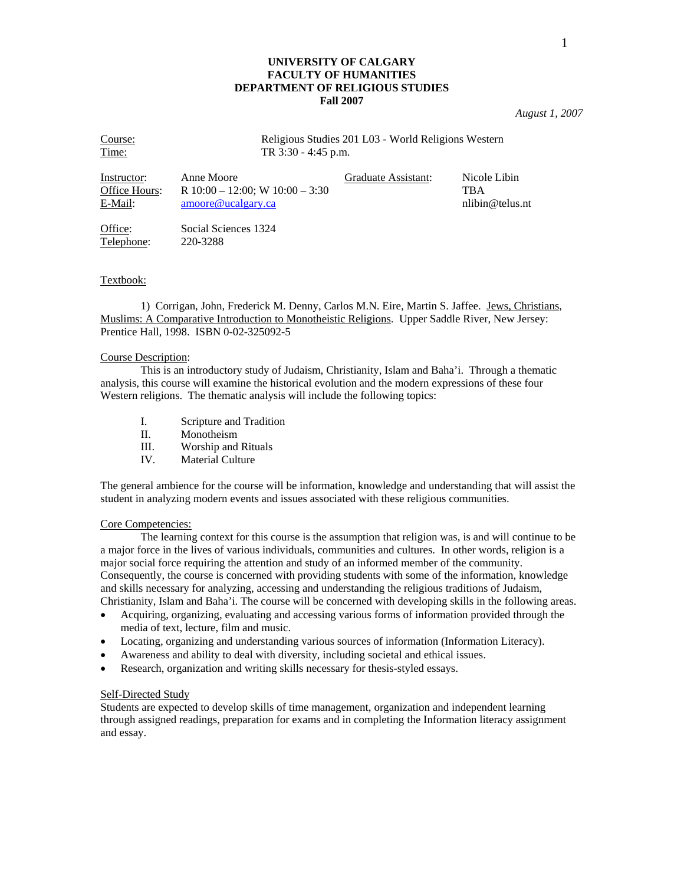## **UNIVERSITY OF CALGARY FACULTY OF HUMANITIES DEPARTMENT OF RELIGIOUS STUDIES Fall 2007**

*August 1, 2007* 

| Course:       | Religious Studies 201 L03 - World Religions Western |                     |                 |  |
|---------------|-----------------------------------------------------|---------------------|-----------------|--|
| Time:         | TR $3:30 - 4:45$ p.m.                               |                     |                 |  |
| Instructor:   | Anne Moore                                          | Graduate Assistant: | Nicole Libin    |  |
| Office Hours: | R $10:00 - 12:00$ ; W $10:00 - 3:30$                |                     | TBA             |  |
| E-Mail:       | $\text{amoore@ucalgary.ca}$                         |                     | nlibin@telus.nt |  |

Office: Social Sciences 1324 Telephone: 220-3288

## Textbook:

 1) Corrigan, John, Frederick M. Denny, Carlos M.N. Eire, Martin S. Jaffee. Jews, Christians, Muslims: A Comparative Introduction to Monotheistic Religions. Upper Saddle River, New Jersey: Prentice Hall, 1998. ISBN 0-02-325092-5

#### Course Description:

 This is an introductory study of Judaism, Christianity, Islam and Baha'i. Through a thematic analysis, this course will examine the historical evolution and the modern expressions of these four Western religions. The thematic analysis will include the following topics:

- I. Scripture and Tradition
- II. Monotheism
- III. Worship and Rituals
- IV. Material Culture

The general ambience for the course will be information, knowledge and understanding that will assist the student in analyzing modern events and issues associated with these religious communities.

#### Core Competencies:

 The learning context for this course is the assumption that religion was, is and will continue to be a major force in the lives of various individuals, communities and cultures. In other words, religion is a major social force requiring the attention and study of an informed member of the community. Consequently, the course is concerned with providing students with some of the information, knowledge and skills necessary for analyzing, accessing and understanding the religious traditions of Judaism, Christianity, Islam and Baha'i. The course will be concerned with developing skills in the following areas.

- Acquiring, organizing, evaluating and accessing various forms of information provided through the media of text, lecture, film and music.
- Locating, organizing and understanding various sources of information (Information Literacy).
- Awareness and ability to deal with diversity, including societal and ethical issues.
- Research, organization and writing skills necessary for thesis-styled essays.

### Self-Directed Study

Students are expected to develop skills of time management, organization and independent learning through assigned readings, preparation for exams and in completing the Information literacy assignment and essay.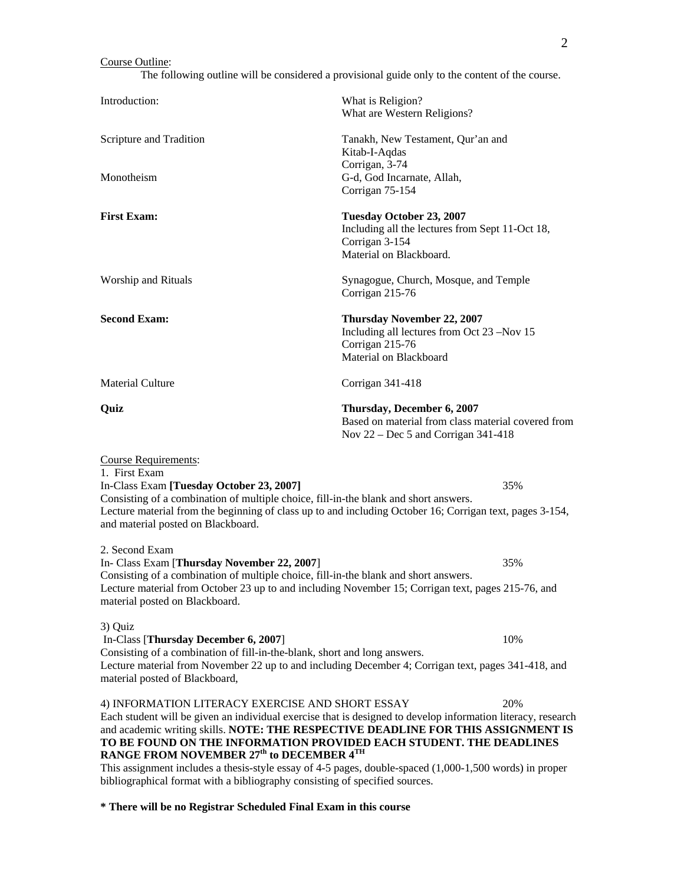## Course Outline:

The following outline will be considered a provisional guide only to the content of the course.

|                                                                                                                                                                                                                                                                                                                                    | buttine will be considered a provisional galac only to the content of the course.                                                                                                                        |  |
|------------------------------------------------------------------------------------------------------------------------------------------------------------------------------------------------------------------------------------------------------------------------------------------------------------------------------------|----------------------------------------------------------------------------------------------------------------------------------------------------------------------------------------------------------|--|
| Introduction:                                                                                                                                                                                                                                                                                                                      | What is Religion?<br>What are Western Religions?                                                                                                                                                         |  |
| Scripture and Tradition                                                                                                                                                                                                                                                                                                            | Tanakh, New Testament, Qur'an and<br>Kitab-I-Aqdas                                                                                                                                                       |  |
| Monotheism                                                                                                                                                                                                                                                                                                                         | Corrigan, 3-74<br>G-d, God Incarnate, Allah,<br>Corrigan 75-154                                                                                                                                          |  |
| <b>First Exam:</b>                                                                                                                                                                                                                                                                                                                 | Tuesday October 23, 2007<br>Including all the lectures from Sept 11-Oct 18,<br>Corrigan 3-154<br>Material on Blackboard.                                                                                 |  |
| Worship and Rituals                                                                                                                                                                                                                                                                                                                | Synagogue, Church, Mosque, and Temple<br>Corrigan 215-76                                                                                                                                                 |  |
| <b>Second Exam:</b>                                                                                                                                                                                                                                                                                                                | <b>Thursday November 22, 2007</b><br>Including all lectures from Oct 23 -Nov 15<br>Corrigan 215-76<br>Material on Blackboard                                                                             |  |
| <b>Material Culture</b>                                                                                                                                                                                                                                                                                                            | Corrigan 341-418                                                                                                                                                                                         |  |
| Quiz                                                                                                                                                                                                                                                                                                                               | Thursday, December 6, 2007<br>Based on material from class material covered from<br>Nov $22 - Dec 5$ and Corrigan 341-418                                                                                |  |
| <b>Course Requirements:</b><br>1. First Exam<br>In-Class Exam [Tuesday October 23, 2007]<br>Consisting of a combination of multiple choice, fill-in-the blank and short answers.<br>Lecture material from the beginning of class up to and including October 16; Corrigan text, pages 3-154,<br>and material posted on Blackboard. | 35%                                                                                                                                                                                                      |  |
| 2. Second Exam<br>In- Class Exam [Thursday November 22, 2007]<br>Consisting of a combination of multiple choice, fill-in-the blank and short answers.<br>Lecture material from October 23 up to and including November 15; Corrigan text, pages 215-76, and<br>material posted on Blackboard.                                      | 35%                                                                                                                                                                                                      |  |
| 3) Quiz<br>In-Class [Thursday December 6, 2007]<br>Consisting of a combination of fill-in-the-blank, short and long answers.<br>Lecture material from November 22 up to and including December 4; Corrigan text, pages 341-418, and<br>material posted of Blackboard,                                                              | 10%                                                                                                                                                                                                      |  |
| 4) INFORMATION LITERACY EXERCISE AND SHORT ESSAY                                                                                                                                                                                                                                                                                   | 20%<br>Each student will be given an individual exercise that is designed to develop information literacy, research<br>and academic writing skills. NOTE: THE RESPECTIVE DEADLINE FOR THIS ASSIGNMENT IS |  |

**TO BE FOUND ON THE INFORMATION PROVIDED EACH STUDENT. THE DEADLINES RANGE FROM NOVEMBER 27th to DECEMBER 4TH**

This assignment includes a thesis-style essay of 4-5 pages, double-spaced (1,000-1,500 words) in proper bibliographical format with a bibliography consisting of specified sources.

## **\* There will be no Registrar Scheduled Final Exam in this course**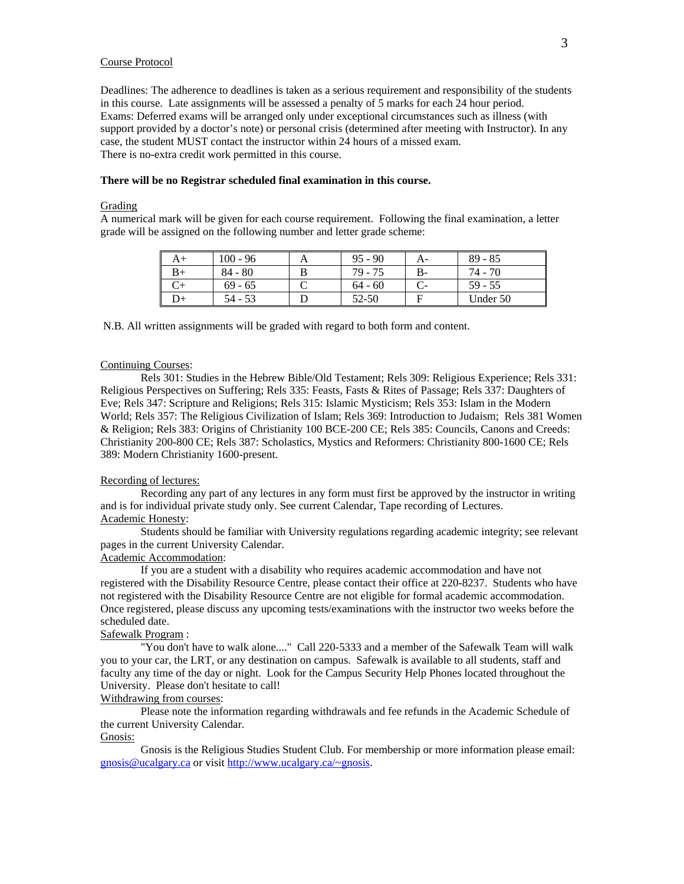## Course Protocol

Deadlines: The adherence to deadlines is taken as a serious requirement and responsibility of the students in this course. Late assignments will be assessed a penalty of 5 marks for each 24 hour period. Exams: Deferred exams will be arranged only under exceptional circumstances such as illness (with support provided by a doctor's note) or personal crisis (determined after meeting with Instructor). In any case, the student MUST contact the instructor within 24 hours of a missed exam. There is no-extra credit work permitted in this course.

#### **There will be no Registrar scheduled final examination in this course.**

#### Grading

A numerical mark will be given for each course requirement. Following the final examination, a letter grade will be assigned on the following number and letter grade scheme:

| A+ | $100 - 96$ | $95 - 90$ | А- | $89 - 85$ |
|----|------------|-----------|----|-----------|
|    | $84 - 80$  | 79 - 75   | В- | 74 - 70   |
|    | $69 - 65$  | $64 - 60$ |    | $59 - 55$ |
|    | 54 - 53    | 52-50     |    | Under 50  |

N.B. All written assignments will be graded with regard to both form and content.

#### Continuing Courses:

 Rels 301: Studies in the Hebrew Bible/Old Testament; Rels 309: Religious Experience; Rels 331: Religious Perspectives on Suffering; Rels 335: Feasts, Fasts & Rites of Passage; Rels 337: Daughters of Eve; Rels 347: Scripture and Religions; Rels 315: Islamic Mysticism; Rels 353: Islam in the Modern World; Rels 357: The Religious Civilization of Islam; Rels 369: Introduction to Judaism; Rels 381 Women & Religion; Rels 383: Origins of Christianity 100 BCE-200 CE; Rels 385: Councils, Canons and Creeds: Christianity 200-800 CE; Rels 387: Scholastics, Mystics and Reformers: Christianity 800-1600 CE; Rels 389: Modern Christianity 1600-present.

### Recording of lectures:

Recording any part of any lectures in any form must first be approved by the instructor in writing and is for individual private study only. See current Calendar, Tape recording of Lectures. Academic Honesty:

Students should be familiar with University regulations regarding academic integrity; see relevant pages in the current University Calendar.

## Academic Accommodation:

If you are a student with a disability who requires academic accommodation and have not registered with the Disability Resource Centre, please contact their office at 220-8237. Students who have not registered with the Disability Resource Centre are not eligible for formal academic accommodation. Once registered, please discuss any upcoming tests/examinations with the instructor two weeks before the scheduled date.

#### Safewalk Program :

"You don't have to walk alone...." Call 220-5333 and a member of the Safewalk Team will walk you to your car, the LRT, or any destination on campus. Safewalk is available to all students, staff and faculty any time of the day or night. Look for the Campus Security Help Phones located throughout the University. Please don't hesitate to call!

# Withdrawing from courses:

Please note the information regarding withdrawals and fee refunds in the Academic Schedule of the current University Calendar. Gnosis:

Gnosis is the Religious Studies Student Club. For membership or more information please email: gnosis@ucalgary.ca or visit http://www.ucalgary.ca/~gnosis.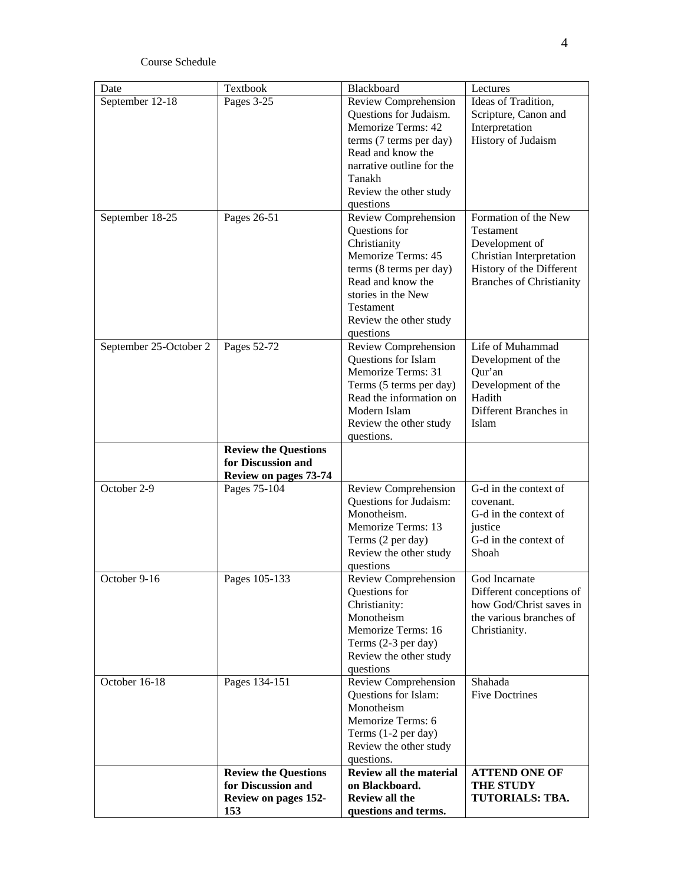# Course Schedule

| Date                   | Textbook                     | Blackboard                                  | Lectures                                            |
|------------------------|------------------------------|---------------------------------------------|-----------------------------------------------------|
| September 12-18        | Pages 3-25                   | Review Comprehension                        | Ideas of Tradition,                                 |
|                        |                              | Questions for Judaism.                      | Scripture, Canon and                                |
|                        |                              | Memorize Terms: 42                          | Interpretation                                      |
|                        |                              | terms (7 terms per day)                     | History of Judaism                                  |
|                        |                              | Read and know the                           |                                                     |
|                        |                              | narrative outline for the                   |                                                     |
|                        |                              | Tanakh                                      |                                                     |
|                        |                              | Review the other study                      |                                                     |
|                        |                              | questions                                   |                                                     |
| September 18-25        | Pages 26-51                  | Review Comprehension                        | Formation of the New                                |
|                        |                              | Questions for                               | Testament                                           |
|                        |                              | Christianity                                | Development of                                      |
|                        |                              | Memorize Terms: 45                          | <b>Christian Interpretation</b>                     |
|                        |                              | terms (8 terms per day)                     | History of the Different                            |
|                        |                              | Read and know the                           | <b>Branches of Christianity</b>                     |
|                        |                              | stories in the New                          |                                                     |
|                        |                              | Testament                                   |                                                     |
|                        |                              | Review the other study                      |                                                     |
|                        |                              | questions                                   | Life of Muhammad                                    |
| September 25-October 2 | Pages 52-72                  | Review Comprehension<br>Questions for Islam | Development of the                                  |
|                        |                              | Memorize Terms: 31                          | Qur'an                                              |
|                        |                              | Terms (5 terms per day)                     | Development of the                                  |
|                        |                              | Read the information on                     | Hadith                                              |
|                        |                              | Modern Islam                                | Different Branches in                               |
|                        |                              | Review the other study                      | Islam                                               |
|                        |                              | questions.                                  |                                                     |
|                        | <b>Review the Questions</b>  |                                             |                                                     |
|                        | for Discussion and           |                                             |                                                     |
|                        | <b>Review on pages 73-74</b> |                                             |                                                     |
| October 2-9            | Pages 75-104                 | Review Comprehension                        | G-d in the context of                               |
|                        |                              | Questions for Judaism:                      | covenant.                                           |
|                        |                              | Monotheism.                                 | G-d in the context of                               |
|                        |                              | Memorize Terms: 13                          | justice                                             |
|                        |                              | Terms (2 per day)                           | G-d in the context of                               |
|                        |                              | Review the other study                      | Shoah                                               |
|                        |                              | questions                                   |                                                     |
| October 9-16           | Pages 105-133                | Review Comprehension                        | God Incarnate                                       |
|                        |                              | Questions for                               | Different conceptions of<br>how God/Christ saves in |
|                        |                              | Christianity:<br>Monotheism                 | the various branches of                             |
|                        |                              | Memorize Terms: 16                          | Christianity.                                       |
|                        |                              | Terms (2-3 per day)                         |                                                     |
|                        |                              | Review the other study                      |                                                     |
|                        |                              | questions                                   |                                                     |
| October 16-18          | Pages 134-151                | Review Comprehension                        | Shahada                                             |
|                        |                              | Questions for Islam:                        | <b>Five Doctrines</b>                               |
|                        |                              | Monotheism                                  |                                                     |
|                        |                              | Memorize Terms: 6                           |                                                     |
|                        |                              | Terms (1-2 per day)                         |                                                     |
|                        |                              | Review the other study                      |                                                     |
|                        |                              | questions.                                  |                                                     |
|                        | <b>Review the Questions</b>  | Review all the material                     | <b>ATTEND ONE OF</b>                                |
|                        | for Discussion and           | on Blackboard.                              | <b>THE STUDY</b>                                    |
|                        | Review on pages 152-         | <b>Review all the</b>                       | TUTORIALS: TBA.                                     |
|                        | 153                          | questions and terms.                        |                                                     |